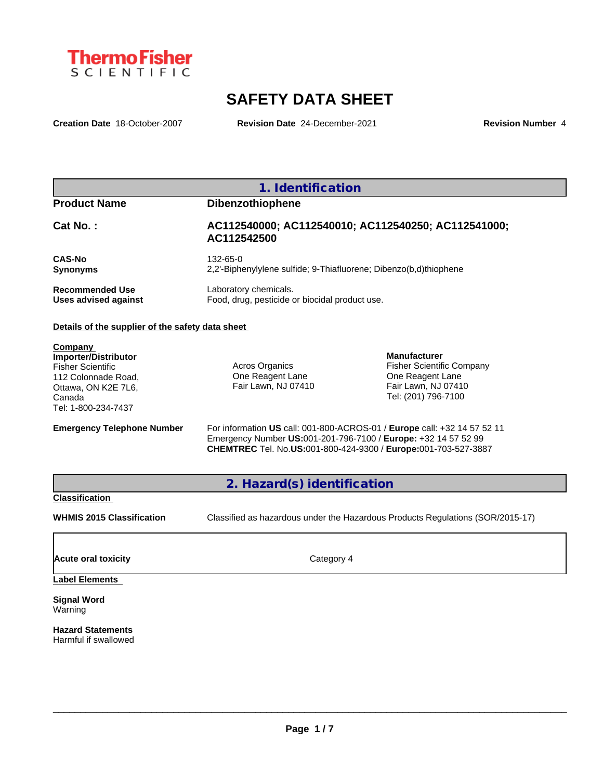

# **SAFETY DATA SHEET**

**Creation Date** 18-October-2007 **Revision Date** 24-December-2021 **Revision Number** 4

| 1. Identification                                |                                                                               |  |  |
|--------------------------------------------------|-------------------------------------------------------------------------------|--|--|
| <b>Product Name</b>                              | <b>Dibenzothiophene</b>                                                       |  |  |
| $Cat No.$ :                                      | AC112540000; AC112540010; AC112540250; AC112541000;<br>AC112542500            |  |  |
| <b>CAS-No</b><br><b>Synonyms</b>                 | 132-65-0<br>2.2'-Biphenylylene sulfide: 9-Thiafluorene: Dibenzo(b,d)thiophene |  |  |
| <b>Recommended Use</b><br>Uses advised against   | Laboratory chemicals.<br>Food, drug, pesticide or biocidal product use.       |  |  |
| Details of the supplier of the safety data sheet |                                                                               |  |  |
| Company                                          |                                                                               |  |  |

**Importer/Distributor** Fisher Scientific 112 Colonnade Road, Ottawa, ON K2E 7L6, Canada Tel: 1-800-234-7437

Acros Organics One Reagent Lane Fair Lawn, NJ 07410 **Manufacturer** Fisher Scientific Company One Reagent Lane Fair Lawn, NJ 07410 Tel: (201) 796-7100

**Emergency Telephone Number** For information **US** call: 001-800-ACROS-01 / **Europe** call: +32 14 57 52 11 Emergency Number **US:**001-201-796-7100 / **Europe:** +32 14 57 52 99 **CHEMTREC** Tel. No.**US:**001-800-424-9300 / **Europe:**001-703-527-3887

**2. Hazard(s) identification**

## **Classification**

**WHMIS 2015 Classification** Classified as hazardous under the Hazardous Products Regulations (SOR/2015-17)

 $\_$  ,  $\_$  ,  $\_$  ,  $\_$  ,  $\_$  ,  $\_$  ,  $\_$  ,  $\_$  ,  $\_$  ,  $\_$  ,  $\_$  ,  $\_$  ,  $\_$  ,  $\_$  ,  $\_$  ,  $\_$  ,  $\_$  ,  $\_$  ,  $\_$  ,  $\_$  ,  $\_$  ,  $\_$  ,  $\_$  ,  $\_$  ,  $\_$  ,  $\_$  ,  $\_$  ,  $\_$  ,  $\_$  ,  $\_$  ,  $\_$  ,  $\_$  ,  $\_$  ,  $\_$  ,  $\_$  ,  $\_$  ,  $\_$  ,

**Acute oral toxicity** Category 4

## **Label Elements**

**Signal Word** Warning

**Hazard Statements** Harmful if swallowed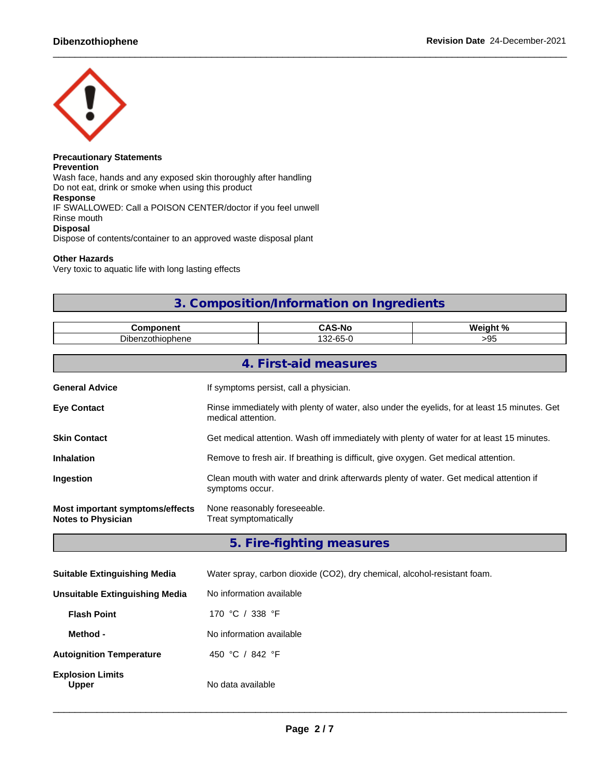

## **Precautionary Statements Prevention** Wash face, hands and any exposed skin thoroughly after handling Do not eat, drink or smoke when using this product **Response** IF SWALLOWED: Call a POISON CENTER/doctor if you feel unwell Rinse mouth **Disposal** Dispose of contents/container to an approved waste disposal plant

## **Other Hazards**

Very toxic to aquatic life with long lasting effects

# **3. Composition/Information on Ingredients**

|                          | . .<br>. . D *<br>S-No               | <b>Weic</b><br>$\mathbf{a}$ |
|--------------------------|--------------------------------------|-----------------------------|
| 1000<br>opnene<br>'` ``` | $\sqrt{2}$<br>$\sim$<br>~-∠ت.<br>ิบม | .                           |

|                                                              | 4. First-aid measures                                                                                              |
|--------------------------------------------------------------|--------------------------------------------------------------------------------------------------------------------|
| <b>General Advice</b>                                        | If symptoms persist, call a physician.                                                                             |
| <b>Eve Contact</b>                                           | Rinse immediately with plenty of water, also under the eyelids, for at least 15 minutes. Get<br>medical attention. |
| <b>Skin Contact</b>                                          | Get medical attention. Wash off immediately with plenty of water for at least 15 minutes.                          |
| <b>Inhalation</b>                                            | Remove to fresh air. If breathing is difficult, give oxygen. Get medical attention.                                |
| <b>Ingestion</b>                                             | Clean mouth with water and drink afterwards plenty of water. Get medical attention if<br>symptoms occur.           |
| Most important symptoms/effects<br><b>Notes to Physician</b> | None reasonably foreseeable.<br>Treat symptomatically                                                              |

**5. Fire-fighting measures**

| <b>Suitable Extinguishing Media</b>     | Water spray, carbon dioxide (CO2), dry chemical, alcohol-resistant foam. |
|-----------------------------------------|--------------------------------------------------------------------------|
| Unsuitable Extinguishing Media          | No information available                                                 |
| <b>Flash Point</b>                      | 170 °C / 338 °F                                                          |
| Method -                                | No information available                                                 |
| <b>Autoignition Temperature</b>         | 450 °C / 842 °F                                                          |
| <b>Explosion Limits</b><br><b>Upper</b> | No data available                                                        |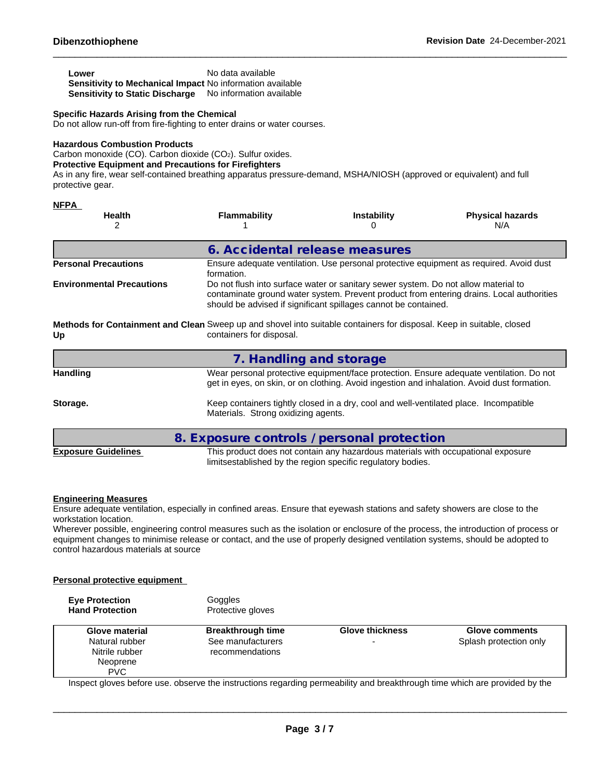| Lower                                                     | No data available        |
|-----------------------------------------------------------|--------------------------|
| Sensitivity to Mechanical Impact No information available |                          |
| Sensitivity to Static Discharge                           | No information available |

## **Specific Hazards Arising from the Chemical**

Do not allow run-off from fire-fighting to enter drains or water courses.

#### **Hazardous Combustion Products**

Carbon monoxide (CO). Carbon dioxide (CO2). Sulfur oxides.

## **Protective Equipment and Precautions for Firefighters**

As in any fire, wear self-contained breathing apparatus pressure-demand, MSHA/NIOSH (approved or equivalent) and full protective gear.

| <b>NFPA</b>                      |                                                                                                                                                   |                                                                                                                                                       |                                                                                                                                                                                        |
|----------------------------------|---------------------------------------------------------------------------------------------------------------------------------------------------|-------------------------------------------------------------------------------------------------------------------------------------------------------|----------------------------------------------------------------------------------------------------------------------------------------------------------------------------------------|
| <b>Health</b><br>2               | <b>Flammability</b>                                                                                                                               | <b>Instability</b>                                                                                                                                    | <b>Physical hazards</b><br>N/A                                                                                                                                                         |
|                                  | 6. Accidental release measures                                                                                                                    |                                                                                                                                                       |                                                                                                                                                                                        |
| <b>Personal Precautions</b>      | formation.                                                                                                                                        |                                                                                                                                                       | Ensure adequate ventilation. Use personal protective equipment as required. Avoid dust                                                                                                 |
| <b>Environmental Precautions</b> |                                                                                                                                                   | Do not flush into surface water or sanitary sewer system. Do not allow material to<br>should be advised if significant spillages cannot be contained. | contaminate ground water system. Prevent product from entering drains. Local authorities                                                                                               |
| Up                               | Methods for Containment and Clean Sweep up and shovel into suitable containers for disposal. Keep in suitable, closed<br>containers for disposal. |                                                                                                                                                       |                                                                                                                                                                                        |
|                                  | 7. Handling and storage                                                                                                                           |                                                                                                                                                       |                                                                                                                                                                                        |
| <b>Handling</b>                  |                                                                                                                                                   |                                                                                                                                                       | Wear personal protective equipment/face protection. Ensure adequate ventilation. Do not<br>get in eyes, on skin, or on clothing. Avoid ingestion and inhalation. Avoid dust formation. |
| Storage.                         | Materials. Strong oxidizing agents.                                                                                                               | Keep containers tightly closed in a dry, cool and well-ventilated place. Incompatible                                                                 |                                                                                                                                                                                        |
|                                  | 8. Exposure controls / personal protection                                                                                                        |                                                                                                                                                       |                                                                                                                                                                                        |
| <b>Exposure Guidelines</b>       |                                                                                                                                                   | This product does not contain any hazardous materials with occupational exposure                                                                      |                                                                                                                                                                                        |

## **Engineering Measures**

Ensure adequate ventilation, especially in confined areas. Ensure that eyewash stations and safety showers are close to the workstation location.

Wherever possible, engineering control measures such as the isolation or enclosure of the process, the introduction of process or equipment changes to minimise release or contact, and the use of properly designed ventilation systems, should be adopted to control hazardous materials at source

limitsestablished by the region specific regulatory bodies.

## **Personal protective equipment**

| <b>Eve Protection</b><br><b>Hand Protection</b>           | Goggles<br>Protective gloves                                     |                             |                                          |
|-----------------------------------------------------------|------------------------------------------------------------------|-----------------------------|------------------------------------------|
| <b>Glove material</b><br>Natural rubber<br>Nitrile rubber | <b>Breakthrough time</b><br>See manufacturers<br>recommendations | <b>Glove thickness</b><br>- | Glove comments<br>Splash protection only |
| Neoprene<br><b>PVC</b>                                    |                                                                  |                             |                                          |

Inspect gloves before use. observe the instructions regarding permeability and breakthrough time which are provided by the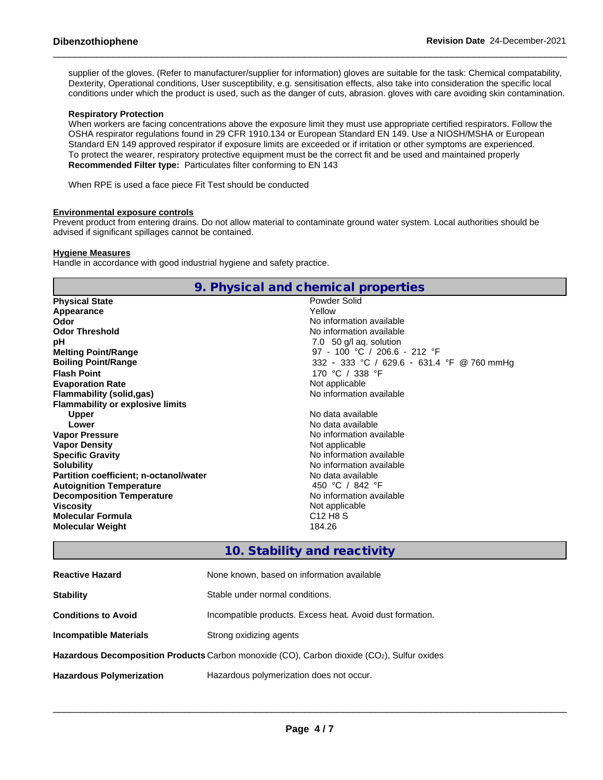supplier of the gloves. (Refer to manufacturer/supplier for information) gloves are suitable for the task: Chemical compatability, Dexterity, Operational conditions, User susceptibility, e.g. sensitisation effects, also take into consideration the specific local conditions under which the product is used, such as the danger of cuts, abrasion. gloves with care avoiding skin contamination.

## **Respiratory Protection**

When workers are facing concentrations above the exposure limit they must use appropriate certified respirators. Follow the OSHA respirator regulations found in 29 CFR 1910.134 or European Standard EN 149. Use a NIOSH/MSHA or European Standard EN 149 approved respirator if exposure limits are exceeded or if irritation or other symptoms are experienced. To protect the wearer, respiratory protective equipment must be the correct fit and be used and maintained properly **Recommended Filter type:** Particulates filter conforming to EN 143

When RPE is used a face piece Fit Test should be conducted

## **Environmental exposure controls**

Prevent product from entering drains. Do not allow material to contaminate ground water system. Local authorities should be advised if significant spillages cannot be contained.

**9. Physical and chemical properties**

## **Hygiene Measures**

Handle in accordance with good industrial hygiene and safety practice.

|                                               | 7. THYSICAL AND CHONNEGH PLOPERICS         |
|-----------------------------------------------|--------------------------------------------|
| <b>Physical State</b>                         | Powder Solid                               |
| Appearance                                    | Yellow                                     |
| Odor                                          | No information available                   |
| <b>Odor Threshold</b>                         | No information available                   |
| рH                                            | 7.0 50 g/l ag. solution                    |
| <b>Melting Point/Range</b>                    | 97 - 100 °C / 206.6 - 212 °F               |
| <b>Boiling Point/Range</b>                    | 332 - 333 °C / 629.6 - 631.4 °F @ 760 mmHg |
| <b>Flash Point</b>                            | 170 °C / 338 °F                            |
| <b>Evaporation Rate</b>                       | Not applicable                             |
| Flammability (solid,gas)                      | No information available                   |
| <b>Flammability or explosive limits</b>       |                                            |
| <b>Upper</b>                                  | No data available                          |
| Lower                                         | No data available                          |
| <b>Vapor Pressure</b>                         | No information available                   |
| <b>Vapor Density</b>                          | Not applicable                             |
| <b>Specific Gravity</b>                       | No information available                   |
| <b>Solubility</b>                             | No information available                   |
| <b>Partition coefficient; n-octanol/water</b> | No data available                          |
| <b>Autoignition Temperature</b>               | 450 °C / 842 °F                            |
| <b>Decomposition Temperature</b>              | No information available                   |
| <b>Viscosity</b>                              | Not applicable                             |
| <b>Molecular Formula</b>                      | C <sub>12</sub> H <sub>8</sub> S           |
| <b>Molecular Weight</b>                       | 184.26                                     |
|                                               |                                            |

## **10. Stability and reactivity**

| <b>Reactive Hazard</b>          | None known, based on information available                                                 |
|---------------------------------|--------------------------------------------------------------------------------------------|
| <b>Stability</b>                | Stable under normal conditions.                                                            |
| <b>Conditions to Avoid</b>      | Incompatible products. Excess heat. Avoid dust formation.                                  |
| <b>Incompatible Materials</b>   | Strong oxidizing agents                                                                    |
|                                 | Hazardous Decomposition Products Carbon monoxide (CO), Carbon dioxide (CO2), Sulfur oxides |
| <b>Hazardous Polymerization</b> | Hazardous polymerization does not occur.                                                   |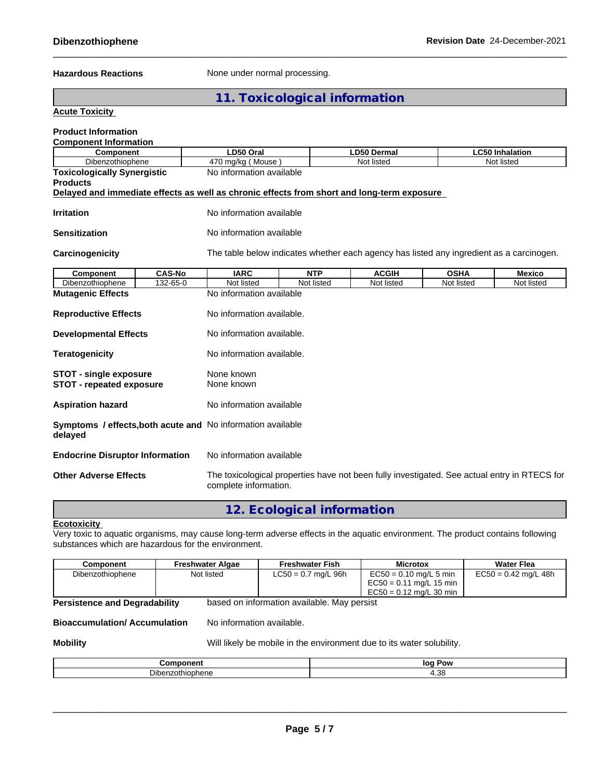Hazardous Reactions **None under normal processing.** 

**11. Toxicological information**

## **Acute Toxicity**

| <b>Product Information</b>                                                                 |               |                                                                                                                       |            |                                                                                          |             |                        |
|--------------------------------------------------------------------------------------------|---------------|-----------------------------------------------------------------------------------------------------------------------|------------|------------------------------------------------------------------------------------------|-------------|------------------------|
| <b>Component Information</b><br>Component                                                  |               | LD50 Oral                                                                                                             |            | LD50 Dermal                                                                              |             | <b>LC50 Inhalation</b> |
| Dibenzothiophene                                                                           |               | 470 mg/kg (Mouse)                                                                                                     |            | Not listed                                                                               |             | Not listed             |
| <b>Toxicologically Synergistic</b><br><b>Products</b>                                      |               | No information available                                                                                              |            |                                                                                          |             |                        |
| Delayed and immediate effects as well as chronic effects from short and long-term exposure |               |                                                                                                                       |            |                                                                                          |             |                        |
| <b>Irritation</b>                                                                          |               | No information available                                                                                              |            |                                                                                          |             |                        |
| Sensitization                                                                              |               | No information available                                                                                              |            |                                                                                          |             |                        |
| Carcinogenicity                                                                            |               |                                                                                                                       |            | The table below indicates whether each agency has listed any ingredient as a carcinogen. |             |                        |
| Component                                                                                  | <b>CAS-No</b> | <b>IARC</b>                                                                                                           | <b>NTP</b> | <b>ACGIH</b>                                                                             | <b>OSHA</b> | <b>Mexico</b>          |
| Dibenzothiophene                                                                           | 132-65-0      | Not listed                                                                                                            | Not listed | Not listed                                                                               | Not listed  | Not listed             |
| <b>Mutagenic Effects</b>                                                                   |               | No information available                                                                                              |            |                                                                                          |             |                        |
| <b>Reproductive Effects</b>                                                                |               | No information available.                                                                                             |            |                                                                                          |             |                        |
| <b>Developmental Effects</b>                                                               |               | No information available.                                                                                             |            |                                                                                          |             |                        |
| <b>Teratogenicity</b>                                                                      |               | No information available.                                                                                             |            |                                                                                          |             |                        |
| <b>STOT - single exposure</b><br><b>STOT - repeated exposure</b>                           |               | None known<br>None known                                                                                              |            |                                                                                          |             |                        |
| <b>Aspiration hazard</b>                                                                   |               | No information available                                                                                              |            |                                                                                          |             |                        |
| Symptoms / effects, both acute and No information available<br>delayed                     |               |                                                                                                                       |            |                                                                                          |             |                        |
| <b>Endocrine Disruptor Information</b>                                                     |               | No information available                                                                                              |            |                                                                                          |             |                        |
| <b>Other Adverse Effects</b>                                                               |               | The toxicological properties have not been fully investigated. See actual entry in RTECS for<br>complete information. |            |                                                                                          |             |                        |

## **12. Ecological information**

## **Ecotoxicity**

Very toxic to aquatic organisms, may cause long-term adverse effects in the aquatic environment. The product contains following substances which are hazardous for the environment.

| Component        | Freshwater Algae | <b>Freshwater Fish</b> | <b>Microtox</b>                                                                    | <b>Water Flea</b>      |
|------------------|------------------|------------------------|------------------------------------------------------------------------------------|------------------------|
| Dibenzothiophene | Not listed       | $LC50 = 0.7$ mg/L 96h  | $EC50 = 0.10$ mg/L 5 min<br>$EC50 = 0.11$ mg/L 15 min<br>$EC50 = 0.12$ mg/L 30 min | $EC50 = 0.42$ mg/L 48h |

**Persistence and Degradability** based on information available. May persist

**Bioaccumulation/ Accumulation** No information available.

**Mobility** Mobill Ikely be mobile in the environment due to its water solubility.

| ωr                    | lor<br>Pow<br>. . |
|-----------------------|-------------------|
| Dıber<br>. .<br>יוסופ | ่วง<br>7.JU       |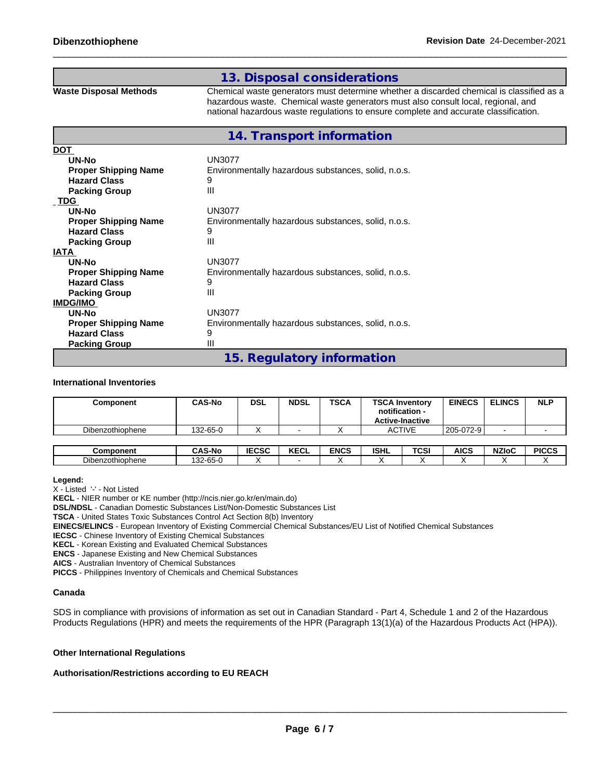## **13. Disposal considerations**

**Waste Disposal Methods** Chemical waste generators must determine whether a discarded chemical is classified as a hazardous waste. Chemical waste generators must also consult local, regional, and national hazardous waste regulations to ensure complete and accurate classification.

|                             | 14. Transport information                           |
|-----------------------------|-----------------------------------------------------|
| DOT                         |                                                     |
| UN-No                       | UN3077                                              |
| <b>Proper Shipping Name</b> | Environmentally hazardous substances, solid, n.o.s. |
| <b>Hazard Class</b>         | 9                                                   |
| <b>Packing Group</b>        | Ш                                                   |
| <b>TDG</b>                  |                                                     |
| UN-No                       | <b>UN3077</b>                                       |
| <b>Proper Shipping Name</b> | Environmentally hazardous substances, solid, n.o.s. |
| <b>Hazard Class</b>         | 9                                                   |
| <b>Packing Group</b>        | Ш                                                   |
| IATA                        |                                                     |
| UN-No                       | UN3077                                              |
| <b>Proper Shipping Name</b> | Environmentally hazardous substances, solid, n.o.s. |
| <b>Hazard Class</b>         | 9                                                   |
| <b>Packing Group</b>        | Ш                                                   |
| <b>IMDG/IMO</b>             |                                                     |
| UN-No                       | <b>UN3077</b>                                       |
| <b>Proper Shipping Name</b> | Environmentally hazardous substances, solid, n.o.s. |
| <b>Hazard Class</b>         | 9                                                   |
| <b>Packing Group</b>        | Ш                                                   |
|                             | 15. Regulatory information                          |

## **International Inventories**

| Component        | <b>CAS-No</b> | DSL          | <b>NDSL</b> | <b>TSCA</b> | <b>TSCA Inventory</b><br>notification -<br><b>Active-Inactive</b> |             | <b>EINECS</b> | <b>ELINCS</b> | <b>NLP</b>   |
|------------------|---------------|--------------|-------------|-------------|-------------------------------------------------------------------|-------------|---------------|---------------|--------------|
| Dibenzothiophene | 132-65-0      |              |             |             | <b>ACTIVE</b>                                                     |             | 205-072-9     |               |              |
|                  |               |              |             |             |                                                                   |             |               |               |              |
| <b>Component</b> | <b>CAS-No</b> | <b>IECSC</b> | <b>KECL</b> | <b>ENCS</b> | <b>ISHL</b>                                                       | <b>TCSI</b> | <b>AICS</b>   | <b>NZIoC</b>  | <b>PICCS</b> |
| Dibenzothiophene | 132-65-0      |              |             |             | $\overline{\phantom{a}}$                                          |             |               |               |              |

**Legend:**

X - Listed '-' - Not Listed

**KECL** - NIER number or KE number (http://ncis.nier.go.kr/en/main.do)

**DSL/NDSL** - Canadian Domestic Substances List/Non-Domestic Substances List

**TSCA** - United States Toxic Substances Control Act Section 8(b) Inventory

**EINECS/ELINCS** - European Inventory of Existing Commercial Chemical Substances/EU List of Notified Chemical Substances

**IECSC** - Chinese Inventory of Existing Chemical Substances

**KECL** - Korean Existing and Evaluated Chemical Substances

**ENCS** - Japanese Existing and New Chemical Substances

**AICS** - Australian Inventory of Chemical Substances

**PICCS** - Philippines Inventory of Chemicals and Chemical Substances

#### **Canada**

SDS in compliance with provisions of information as set out in Canadian Standard - Part 4, Schedule 1 and 2 of the Hazardous Products Regulations (HPR) and meets the requirements of the HPR (Paragraph 13(1)(a) of the Hazardous Products Act (HPA)).

## **Other International Regulations**

## **Authorisation/Restrictions according to EU REACH**